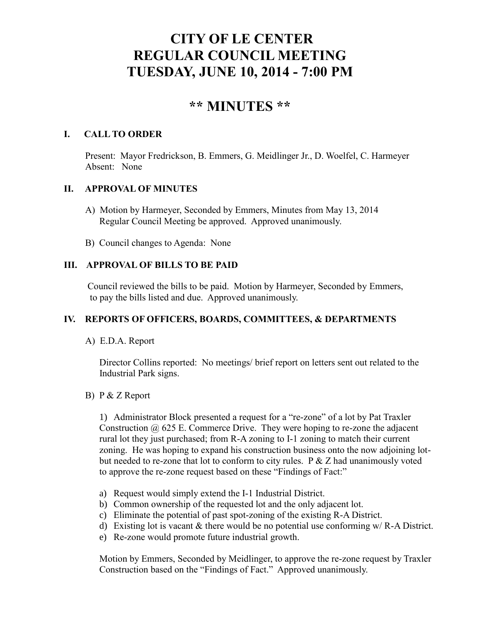# **CITY OF LE CENTER REGULAR COUNCIL MEETING TUESDAY, JUNE 10, 2014 - 7:00 PM**

## **\*\* MINUTES \*\***

### **I. CALL TO ORDER**

Present: Mayor Fredrickson, B. Emmers, G. Meidlinger Jr., D. Woelfel, C. Harmeyer Absent: None

## **II. APPROVAL OF MINUTES**

- A) Motion by Harmeyer, Seconded by Emmers, Minutes from May 13, 2014 Regular Council Meeting be approved. Approved unanimously.
- B) Council changes to Agenda: None

## **III. APPROVAL OF BILLS TO BE PAID**

Council reviewed the bills to be paid. Motion by Harmeyer, Seconded by Emmers, to pay the bills listed and due. Approved unanimously.

## **IV. REPORTS OF OFFICERS, BOARDS, COMMITTEES, & DEPARTMENTS**

## A) E.D.A. Report

 Director Collins reported: No meetings/ brief report on letters sent out related to the Industrial Park signs.

## B) P & Z Report

1) Administrator Block presented a request for a "re-zone" of a lot by Pat Traxler Construction  $\omega$  625 E. Commerce Drive. They were hoping to re-zone the adjacent rural lot they just purchased; from R-A zoning to I-1 zoning to match their current zoning. He was hoping to expand his construction business onto the now adjoining lot but needed to re-zone that lot to conform to city rules.  $P \& Z$  had unanimously voted to approve the re-zone request based on these "Findings of Fact:"

- a) Request would simply extend the I-1 Industrial District.
- b) Common ownership of the requested lot and the only adjacent lot.
- c) Eliminate the potential of past spot-zoning of the existing R-A District.
- d) Existing lot is vacant  $\&$  there would be no potential use conforming w/R-A District.
- e) Re-zone would promote future industrial growth.

Motion by Emmers, Seconded by Meidlinger, to approve the re-zone request by Traxler Construction based on the "Findings of Fact." Approved unanimously.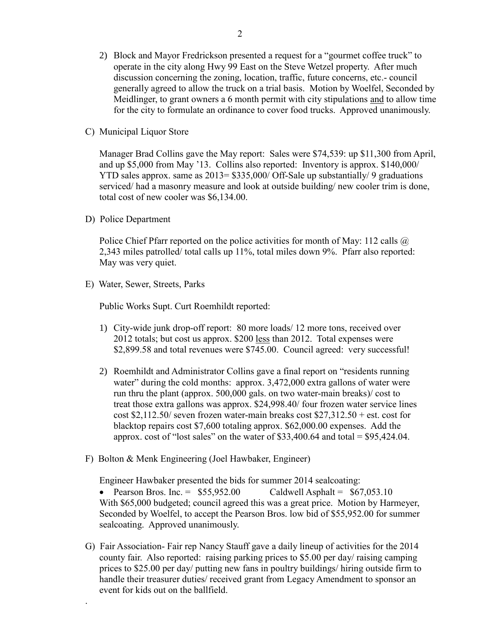- 2) Block and Mayor Fredrickson presented a request for a "gourmet coffee truck" to operate in the city along Hwy 99 East on the Steve Wetzel property. After much discussion concerning the zoning, location, traffic, future concerns, etc.- council generally agreed to allow the truck on a trial basis. Motion by Woelfel, Seconded by Meidlinger, to grant owners a 6 month permit with city stipulations and to allow time for the city to formulate an ordinance to cover food trucks. Approved unanimously.
- C) Municipal Liquor Store

Manager Brad Collins gave the May report: Sales were \$74,539: up \$11,300 from April, and up \$5,000 from May '13. Collins also reported: Inventory is approx. \$140,000/ YTD sales approx. same as 2013= \$335,000/ Off-Sale up substantially/ 9 graduations serviced/ had a masonry measure and look at outside building/ new cooler trim is done, total cost of new cooler was \$6,134.00.

D) Police Department

.

Police Chief Pfarr reported on the police activities for month of May: 112 calls  $\omega$ 2,343 miles patrolled/ total calls up 11%, total miles down 9%. Pfarr also reported: May was very quiet.

E) Water, Sewer, Streets, Parks

Public Works Supt. Curt Roemhildt reported:

- 1) City-wide junk drop-off report: 80 more loads/ 12 more tons, received over 2012 totals; but cost us approx. \$200 less than 2012. Total expenses were \$2,899.58 and total revenues were \$745.00. Council agreed: very successful!
- 2) Roemhildt and Administrator Collins gave a final report on "residents running water" during the cold months: approx. 3,472,000 extra gallons of water were run thru the plant (approx. 500,000 gals. on two water-main breaks)/ cost to treat those extra gallons was approx. \$24,998.40/ four frozen water service lines cost \$2,112.50/ seven frozen water-main breaks cost  $$27,312.50 + est$ . cost for blacktop repairs cost \$7,600 totaling approx. \$62,000.00 expenses. Add the approx. cost of "lost sales" on the water of  $$33,400.64$  and total =  $$95,424.04$ .
- F) Bolton & Menk Engineering (Joel Hawbaker, Engineer)

Engineer Hawbaker presented the bids for summer 2014 sealcoating:

• Pearson Bros. Inc. =  $$55,952.00$  Caldwell Asphalt =  $$67,053.10$ With \$65,000 budgeted; council agreed this was a great price. Motion by Harmeyer, Seconded by Woelfel, to accept the Pearson Bros. low bid of \$55,952.00 for summer sealcoating. Approved unanimously.

G) Fair Association- Fair rep Nancy Stauff gave a daily lineup of activities for the 2014 county fair. Also reported: raising parking prices to \$5.00 per day/ raising camping prices to \$25.00 per day/ putting new fans in poultry buildings/ hiring outside firm to handle their treasurer duties/ received grant from Legacy Amendment to sponsor an event for kids out on the ballfield.